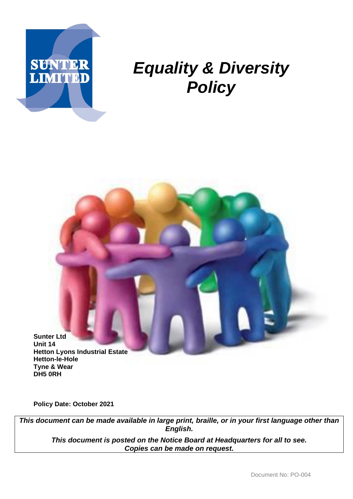

# *Equality & Diversity Policy*



**Unit 14 Hetton Lyons Industrial Estate Hetton-le-Hole Tyne & Wear DH5 0RH**

**Policy Date: October 2021**

*This document can be made available in large print, braille, or in your first language other than English.*

> *This document is posted on the Notice Board at Headquarters for all to see. Copies can be made on request.*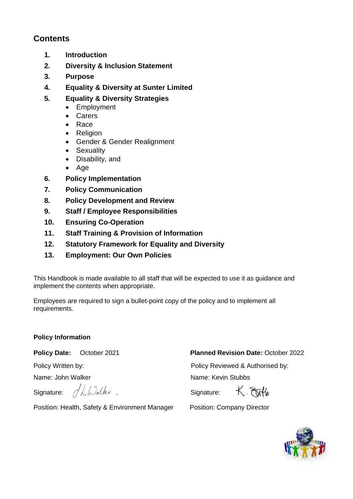### **Contents**

- **1. Introduction**
- **2. Diversity & Inclusion Statement**
- **3. Purpose**
- **4. Equality & Diversity at Sunter Limited**
- **5. Equality & Diversity Strategies**
	- Employment
	- Carers
	- Race
	- Religion
	- Gender & Gender Realignment
	- Sexuality
	- Disability, and
	- Age
- **6. Policy Implementation**
- **7. Policy Communication**
- **8. Policy Development and Review**
- **9. Staff / Employee Responsibilities**
- **10. Ensuring Co-Operation**
- **11. Staff Training & Provision of Information**
- **12. Statutory Framework for Equality and Diversity**
- **13. Employment: Our Own Policies**

This Handbook is made available to all staff that will be expected to use it as guidance and implement the contents when appropriate.

Employees are required to sign a bullet-point copy of the policy and to implement all requirements.

#### **Policy Information**

Signature:  $\frac{1}{2}$   $\frac{1}{2}$   $\frac{1}{2}$   $\frac{1}{2}$   $\frac{1}{2}$   $\frac{1}{2}$   $\frac{1}{2}$   $\frac{1}{2}$   $\frac{1}{2}$   $\frac{1}{2}$   $\frac{1}{2}$   $\frac{1}{2}$   $\frac{1}{2}$   $\frac{1}{2}$   $\frac{1}{2}$   $\frac{1}{2}$   $\frac{1}{2}$   $\frac{1}{2}$   $\frac{1}{2}$   $\frac{1}{2}$   $\frac{1}{2}$ 

Position: Health, Safety & Environment Manager Position: Company Director

#### **Policy Date:** October 2021 **Planned Revision Date:** October 2022

Policy Written by:  $\blacksquare$  Policy Reviewed & Authorised by: Name: John Walker Name: Kevin Stubbs

K. Etitle

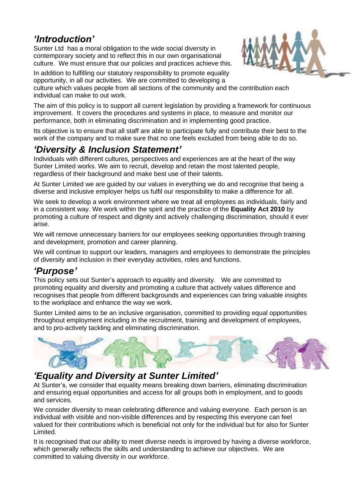# *'Introduction'*

Sunter Ltd has a moral obligation to the wide social diversity in contemporary society and to reflect this in our own organisational culture. We must ensure that our policies and practices achieve this.



In addition to fulfilling our statutory responsibility to promote equality opportunity, in all our activities. We are committed to developing a

culture which values people from all sections of the community and the contribution each individual can make to out work.

The aim of this policy is to support all current legislation by providing a framework for continuous improvement. It covers the procedures and systems in place, to measure and monitor our performance, both in eliminating discrimination and in implementing good practice.

Its objective is to ensure that all staff are able to participate fully and contribute their best to the work of the company and to make sure that no one feels excluded from being able to do so.

# *'Diversity & Inclusion Statement'*

Individuals with different cultures, perspectives and experiences are at the heart of the way Sunter Limited works. We aim to recruit, develop and retain the most talented people, regardless of their background and make best use of their talents.

At Sunter Limited we are guided by our values in everything we do and recognise that being a diverse and inclusive employer helps us fulfil our responsibility to make a difference for all.

We seek to develop a work environment where we treat all employees as individuals, fairly and in a consistent way. We work within the spirit and the practice of the **Equality Act 2010** by promoting a culture of respect and dignity and actively challenging discrimination, should it ever arise.

We will remove unnecessary barriers for our employees seeking opportunities through training and development, promotion and career planning.

We will continue to support our leaders, managers and employees to demonstrate the principles of diversity and inclusion in their everyday activities, roles and functions.

### *'Purpose'*

This policy sets out Sunter's approach to equality and diversity. We are committed to promoting equality and diversity and promoting a culture that actively values difference and recognises that people from different backgrounds and experiences can bring valuable insights to the workplace and enhance the way we work.

Sunter Limited aims to be an inclusive organisation, committed to providing equal opportunities throughout employment including in the recruitment, training and development of employees, and to pro-actively tackling and eliminating discrimination.



### *'Equality and Diversity at Sunter Limited'*

At Sunter's, we consider that equality means breaking down barriers, eliminating discrimination and ensuring equal opportunities and access for all groups both in employment, and to goods and services.

We consider diversity to mean celebrating difference and valuing everyone. Each person is an individual with visible and non-visible differences and by respecting this everyone can feel valued for their contributions which is beneficial not only for the individual but for also for Sunter Limited.

It is recognised that our ability to meet diverse needs is improved by having a diverse workforce, which generally reflects the skills and understanding to achieve our objectives. We are committed to valuing diversity in our workforce.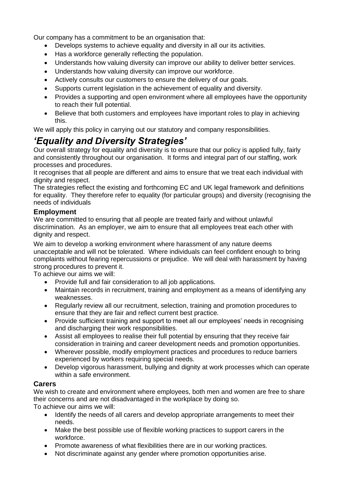Our company has a commitment to be an organisation that:

- Develops systems to achieve equality and diversity in all our its activities.
- Has a workforce generally reflecting the population.
- Understands how valuing diversity can improve our ability to deliver better services.
- Understands how valuing diversity can improve our workforce.
- Actively consults our customers to ensure the delivery of our goals.
- Supports current legislation in the achievement of equality and diversity.
- Provides a supporting and open environment where all employees have the opportunity to reach their full potential.
- Believe that both customers and employees have important roles to play in achieving this.

We will apply this policy in carrying out our statutory and company responsibilities.

### *'Equality and Diversity Strategies'*

Our overall strategy for equality and diversity is to ensure that our policy is applied fully, fairly and consistently throughout our organisation. It forms and integral part of our staffing, work processes and procedures.

It recognises that all people are different and aims to ensure that we treat each individual with dignity and respect.

The strategies reflect the existing and forthcoming EC and UK legal framework and definitions for equality. They therefore refer to equality (for particular groups) and diversity (recognising the needs of individuals

#### **Employment**

We are committed to ensuring that all people are treated fairly and without unlawful discrimination. As an employer, we aim to ensure that all employees treat each other with dignity and respect.

We aim to develop a working environment where harassment of any nature deems unacceptable and will not be tolerated. Where individuals can feel confident enough to bring complaints without fearing repercussions or prejudice. We will deal with harassment by having strong procedures to prevent it.

To achieve our aims we will:

- Provide full and fair consideration to all job applications.
- Maintain records in recruitment, training and employment as a means of identifying any weaknesses.
- Regularly review all our recruitment, selection, training and promotion procedures to ensure that they are fair and reflect current best practice.
- Provide sufficient training and support to meet all our employees' needs in recognising and discharging their work responsibilities.
- Assist all employees to realise their full potential by ensuring that they receive fair consideration in training and career development needs and promotion opportunities.
- Wherever possible, modify employment practices and procedures to reduce barriers experienced by workers requiring special needs.
- Develop vigorous harassment, bullying and dignity at work processes which can operate within a safe environment.

#### **Carers**

We wish to create and environment where employees, both men and women are free to share their concerns and are not disadvantaged in the workplace by doing so. To achieve our aims we will:

- Identify the needs of all carers and develop appropriate arrangements to meet their needs.
- Make the best possible use of flexible working practices to support carers in the workforce.
- Promote awareness of what flexibilities there are in our working practices.
- Not discriminate against any gender where promotion opportunities arise.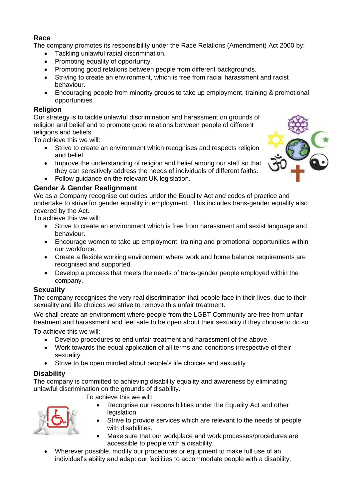#### **Race**

The company promotes its responsibility under the Race Relations (Amendment) Act 2000 by:

- Tackling unlawful racial discrimination.
- Promoting equality of opportunity.
- Promoting good relations between people from different backgrounds.
- Striving to create an environment, which is free from racial harassment and racist behaviour.
- Encouraging people from minority groups to take up employment, training & promotional opportunities.

#### **Religion**

Our strategy is to tackle unlawful discrimination and harassment on grounds of religion and belief and to promote good relations between people of different religions and beliefs.

To achieve this we will:

- Strive to create an environment which recognises and respects religion and belief.
- Improve the understanding of religion and belief among our staff so that they can sensitively address the needs of individuals of different faiths.
- Follow quidance on the relevant UK legislation.

#### **Gender & Gender Realignment**

We as a Company recognise out duties under the Equality Act and codes of practice and undertake to strive for gender equality in employment. This includes trans-gender equality also covered by the Act.

To achieve this we will:

- Strive to create an environment which is free from harassment and sexist language and behaviour.
- Encourage women to take up employment, training and promotional opportunities within our workforce.
- Create a flexible working environment where work and home balance requirements are recognised and supported.
- Develop a process that meets the needs of trans-gender people employed within the company.

#### **Sexuality**

The company recognises the very real discrimination that people face in their lives, due to their sexuality and life choices we strive to remove this unfair treatment.

We shall create an environment where people from the LGBT Community are free from unfair treatment and harassment and feel safe to be open about their sexuality if they choose to do so.

To achieve this we will:

- Develop procedures to end unfair treatment and harassment of the above.
- Work towards the equal application of all terms and conditions irrespective of their sexuality.
- Strive to be open minded about people's life choices and sexuality

#### **Disability**

The company is committed to achieving disability equality and awareness by eliminating unlawful discrimination on the grounds of disability.

To achieve this we will:

- Recognise our responsibilities under the Equality Act and other legislation.
- Strive to provide services which are relevant to the needs of people with disabilities.
- Make sure that our workplace and work processes/procedures are accessible to people with a disability.
- Wherever possible, modify our procedures or equipment to make full use of an individual's ability and adapt our facilities to accommodate people with a disability.

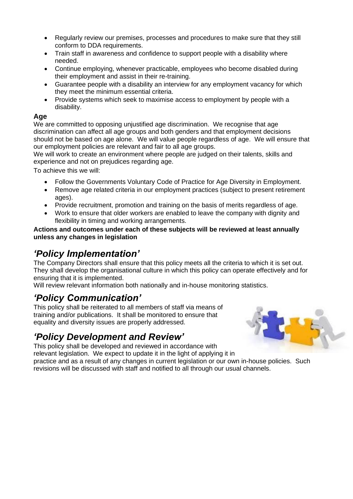- Regularly review our premises, processes and procedures to make sure that they still conform to DDA requirements.
- Train staff in awareness and confidence to support people with a disability where needed.
- Continue employing, whenever practicable, employees who become disabled during their employment and assist in their re-training.
- Guarantee people with a disability an interview for any employment vacancy for which they meet the minimum essential criteria.
- Provide systems which seek to maximise access to employment by people with a disability.

#### **Age**

We are committed to opposing unjustified age discrimination. We recognise that age discrimination can affect all age groups and both genders and that employment decisions should not be based on age alone. We will value people regardless of age. We will ensure that our employment policies are relevant and fair to all age groups.

We will work to create an environment where people are judged on their talents, skills and experience and not on prejudices regarding age.

To achieve this we will:

- Follow the Governments Voluntary Code of Practice for Age Diversity in Employment.
- Remove age related criteria in our employment practices (subject to present retirement ages).
- Provide recruitment, promotion and training on the basis of merits regardless of age.
- Work to ensure that older workers are enabled to leave the company with dignity and flexibility in timing and working arrangements.

**Actions and outcomes under each of these subjects will be reviewed at least annually unless any changes in legislation**

# *'Policy Implementation'*

The Company Directors shall ensure that this policy meets all the criteria to which it is set out. They shall develop the organisational culture in which this policy can operate effectively and for ensuring that it is implemented.

Will review relevant information both nationally and in-house monitoring statistics.

### *'Policy Communication'*

This policy shall be reiterated to all members of staff via means of training and/or publications. It shall be monitored to ensure that equality and diversity issues are properly addressed.

# *'Policy Development and Review'*

This policy shall be developed and reviewed in accordance with

relevant legislation. We expect to update it in the light of applying it in

practice and as a result of any changes in current legislation or our own in-house policies. Such revisions will be discussed with staff and notified to all through our usual channels.

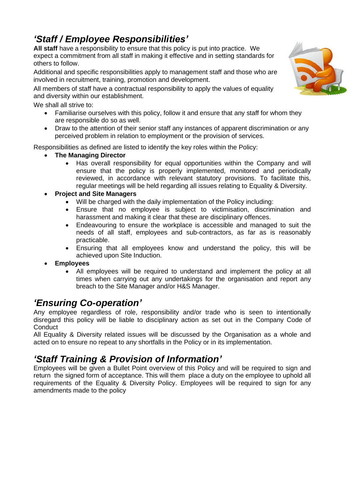# *'Staff / Employee Responsibilities'*

**All staff** have a responsibility to ensure that this policy is put into practice. We expect a commitment from all staff in making it effective and in setting standards for others to follow.

Additional and specific responsibilities apply to management staff and those who are involved in recruitment, training, promotion and development.

All members of staff have a contractual responsibility to apply the values of equality and diversity within our establishment.

We shall all strive to:

- Familiarise ourselves with this policy, follow it and ensure that any staff for whom they are responsible do so as well.
- Draw to the attention of their senior staff any instances of apparent discrimination or any perceived problem in relation to employment or the provision of services.

Responsibilities as defined are listed to identify the key roles within the Policy:

- **The Managing Director**
	- Has overall responsibility for equal opportunities within the Company and will ensure that the policy is properly implemented, monitored and periodically reviewed, in accordance with relevant statutory provisions. To facilitate this, regular meetings will be held regarding all issues relating to Equality & Diversity.

#### • **Project and Site Managers**

- Will be charged with the daily implementation of the Policy including:
- Ensure that no employee is subject to victimisation, discrimination and harassment and making it clear that these are disciplinary offences.
- Endeavouring to ensure the workplace is accessible and managed to suit the needs of all staff, employees and sub-contractors, as far as is reasonably practicable.
- Ensuring that all employees know and understand the policy, this will be achieved upon Site Induction.

• **Employees**

• All employees will be required to understand and implement the policy at all times when carrying out any undertakings for the organisation and report any breach to the Site Manager and/or H&S Manager.

### *'Ensuring Co-operation'*

Any employee regardless of role, responsibility and/or trade who is seen to intentionally disregard this policy will be liable to disciplinary action as set out in the Company Code of **Conduct** 

All Equality & Diversity related issues will be discussed by the Organisation as a whole and acted on to ensure no repeat to any shortfalls in the Policy or in its implementation.

# *'Staff Training & Provision of Information'*

Employees will be given a Bullet Point overview of this Policy and will be required to sign and return the signed form of acceptance. This will them place a duty on the employee to uphold all requirements of the Equality & Diversity Policy. Employees will be required to sign for any amendments made to the policy